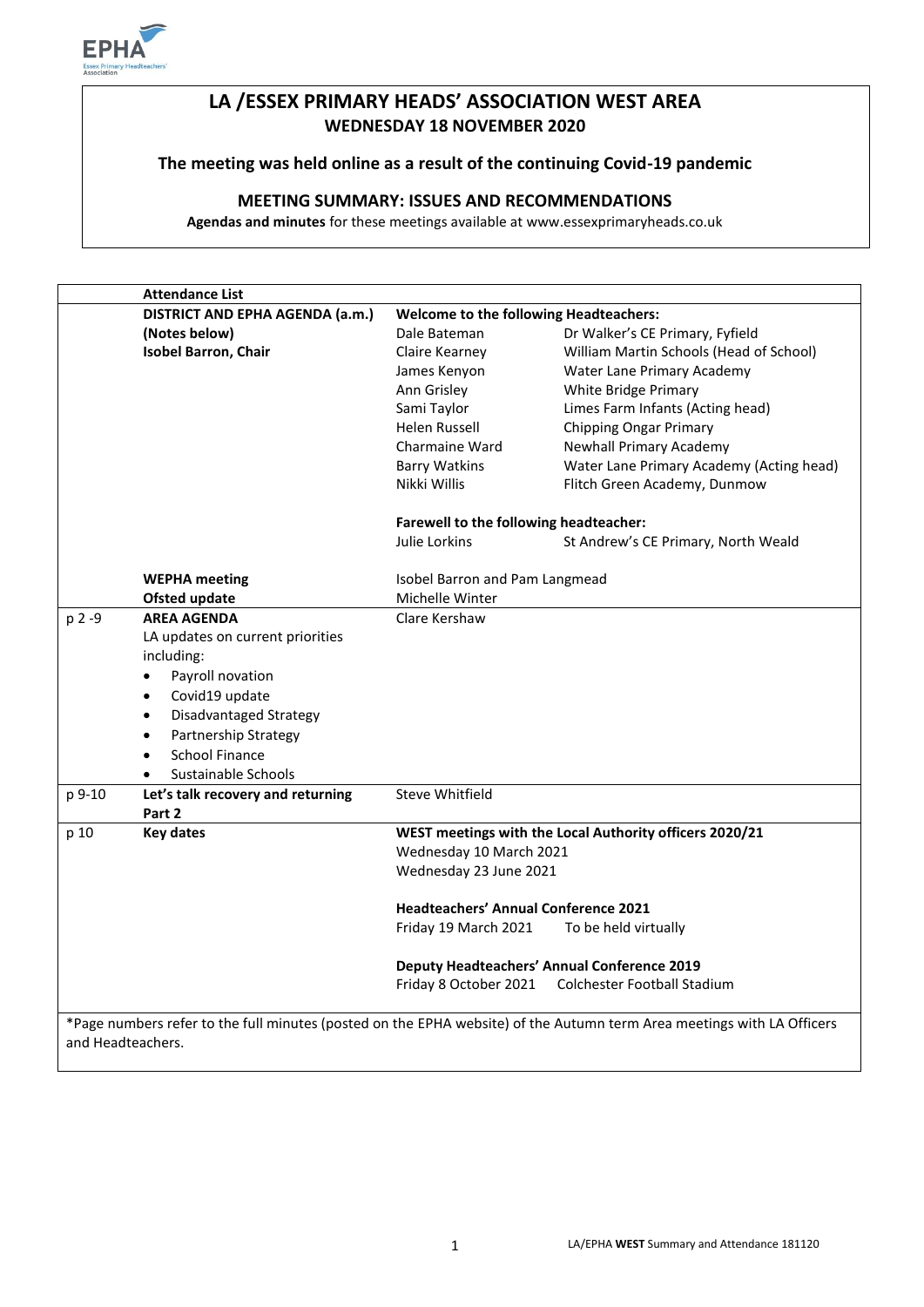

# **LA /ESSEX PRIMARY HEADS' ASSOCIATION WEST AREA WEDNESDAY 18 NOVEMBER 2020**

### **The meeting was held online as a result of the continuing Covid-19 pandemic**

## **MEETING SUMMARY: ISSUES AND RECOMMENDATIONS**

**Agendas and minutes** for these meetings available at www.essexprimaryheads.co.uk

|                                                                                                                                             | <b>Attendance List</b>                     |                                                         |                                          |
|---------------------------------------------------------------------------------------------------------------------------------------------|--------------------------------------------|---------------------------------------------------------|------------------------------------------|
|                                                                                                                                             | DISTRICT AND EPHA AGENDA (a.m.)            | <b>Welcome to the following Headteachers:</b>           |                                          |
|                                                                                                                                             | (Notes below)                              | Dale Bateman                                            | Dr Walker's CE Primary, Fyfield          |
|                                                                                                                                             | <b>Isobel Barron, Chair</b>                | Claire Kearney                                          | William Martin Schools (Head of School)  |
|                                                                                                                                             |                                            | James Kenyon                                            | Water Lane Primary Academy               |
|                                                                                                                                             |                                            | Ann Grisley                                             | White Bridge Primary                     |
|                                                                                                                                             |                                            | Sami Taylor                                             | Limes Farm Infants (Acting head)         |
|                                                                                                                                             |                                            | Helen Russell                                           | <b>Chipping Ongar Primary</b>            |
|                                                                                                                                             |                                            | Charmaine Ward                                          | Newhall Primary Academy                  |
|                                                                                                                                             |                                            | <b>Barry Watkins</b>                                    | Water Lane Primary Academy (Acting head) |
|                                                                                                                                             |                                            | Nikki Willis                                            | Flitch Green Academy, Dunmow             |
|                                                                                                                                             |                                            | Farewell to the following headteacher:                  |                                          |
|                                                                                                                                             |                                            | Julie Lorkins                                           | St Andrew's CE Primary, North Weald      |
|                                                                                                                                             | <b>WEPHA</b> meeting                       | Isobel Barron and Pam Langmead<br>Michelle Winter       |                                          |
|                                                                                                                                             | <b>Ofsted update</b>                       |                                                         |                                          |
| p 2 -9                                                                                                                                      | <b>AREA AGENDA</b>                         | Clare Kershaw                                           |                                          |
|                                                                                                                                             | LA updates on current priorities           |                                                         |                                          |
|                                                                                                                                             | including:                                 |                                                         |                                          |
|                                                                                                                                             | Payroll novation<br>$\bullet$              |                                                         |                                          |
|                                                                                                                                             | Covid19 update<br>$\bullet$                |                                                         |                                          |
|                                                                                                                                             | <b>Disadvantaged Strategy</b><br>$\bullet$ |                                                         |                                          |
|                                                                                                                                             | Partnership Strategy<br>$\bullet$          |                                                         |                                          |
|                                                                                                                                             | <b>School Finance</b><br>$\bullet$         |                                                         |                                          |
|                                                                                                                                             | Sustainable Schools                        |                                                         |                                          |
| p 9-10                                                                                                                                      | Let's talk recovery and returning          | <b>Steve Whitfield</b>                                  |                                          |
|                                                                                                                                             | Part 2                                     |                                                         |                                          |
| p 10                                                                                                                                        | <b>Key dates</b>                           | WEST meetings with the Local Authority officers 2020/21 |                                          |
|                                                                                                                                             |                                            | Wednesday 10 March 2021                                 |                                          |
|                                                                                                                                             |                                            | Wednesday 23 June 2021                                  |                                          |
|                                                                                                                                             |                                            | <b>Headteachers' Annual Conference 2021</b>             |                                          |
|                                                                                                                                             |                                            | Friday 19 March 2021                                    | To be held virtually                     |
|                                                                                                                                             |                                            | <b>Deputy Headteachers' Annual Conference 2019</b>      |                                          |
|                                                                                                                                             |                                            | Friday 8 October 2021                                   | Colchester Football Stadium              |
|                                                                                                                                             |                                            |                                                         |                                          |
| *Page numbers refer to the full minutes (posted on the EPHA website) of the Autumn term Area meetings with LA Officers<br>and Headteachers. |                                            |                                                         |                                          |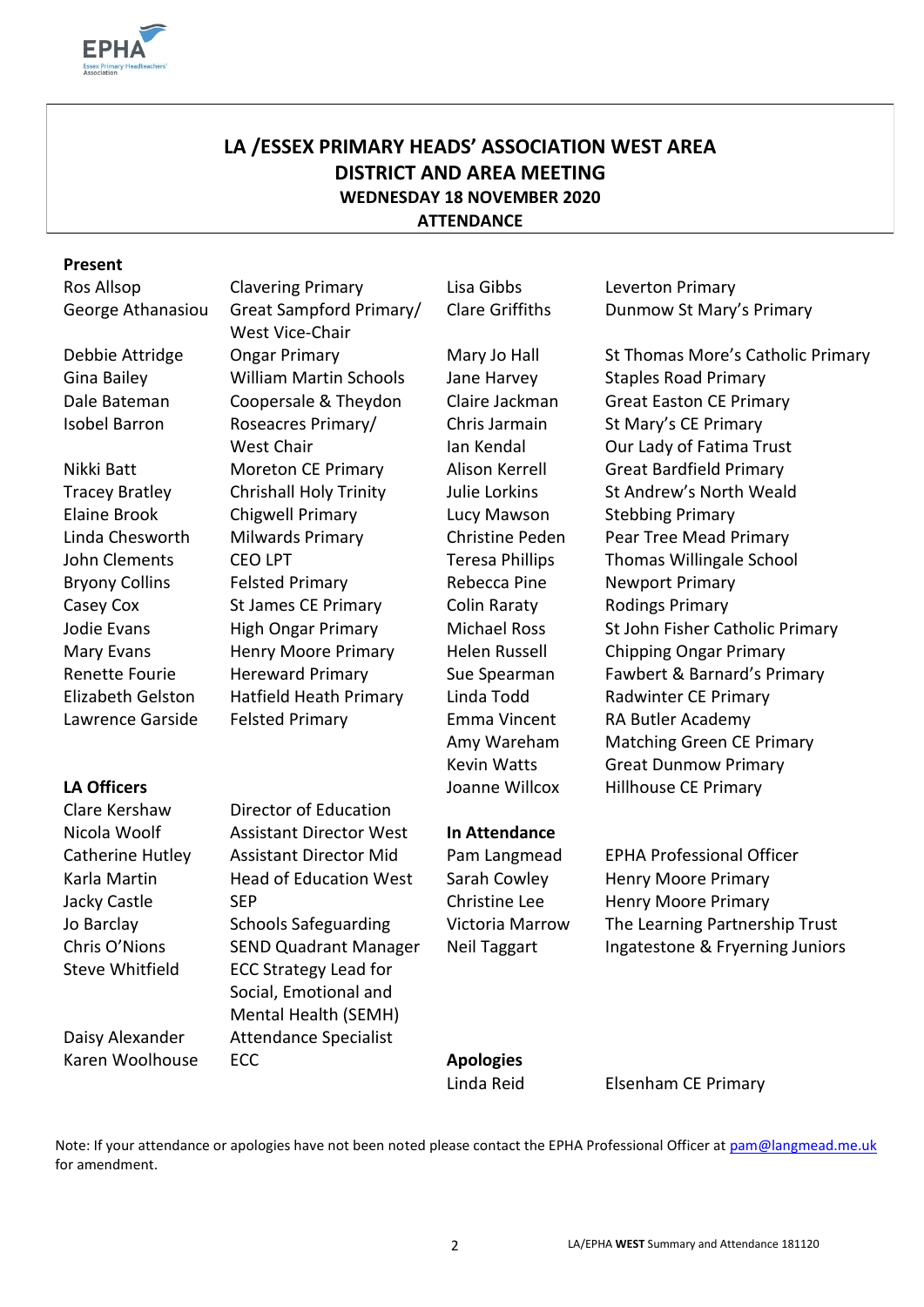

# **LA /ESSEX PRIMARY HEADS' ASSOCIATION WEST AREA DISTRICT AND AREA MEETING WEDNESDAY 18 NOVEMBER 2020 ATTENDANCE**

#### **Present**

Ros Allsop Clavering Primary Lisa Gibbs Leverton Primary

Clare Kershaw Director of Education Nicola Woolf Assistant Director West **In Attendance** Catherine Hutley Assistant Director Mid Pam Langmead EPHA Professional Officer Steve Whitfield ECC Strategy Lead for

Daisy Alexander Attendance Specialist Karen Woolhouse ECC **Apologies** 

George Athanasiou Great Sampford Primary/ West Vice-Chair Gina Bailey William Martin Schools Jane Harvey Staples Road Primary Isobel Barron Roseacres Primary/ West Chair Elaine Brook Chigwell Primary Lucy Mawson Stebbing Primary Bryony Collins Felsted Primary Felsted Primary Rebecca Pine Rewport Primary Casey Cox 5t James CE Primary Colin Raraty Rodings Primary Elizabeth Gelston Hatfield Heath Primary Linda Todd Radwinter CE Primary

> Social, Emotional and Mental Health (SEMH)

Chris Jarmain Ian Kendal

Clare Griffiths Dunmow St Mary's Primary

Debbie Attridge Ongar Primary Mary Jo Hall St Thomas More's Catholic Primary Dale Bateman Coopersale & Theydon Claire Jackman Great Easton CE Primary St Mary's CE Primary Our Lady of Fatima Trust Nikki Batt Moreton CE Primary Alison Kerrell Great Bardfield Primary Tracey Bratley Chrishall Holy Trinity Julie Lorkins St Andrew's North Weald Linda Chesworth Milwards Primary Christine Peden Pear Tree Mead Primary John Clements CEO LPT Teresa Phillips Thomas Willingale School Jodie Evans High Ongar Primary Michael Ross St John Fisher Catholic Primary Mary Evans **Henry Moore Primary** Helen Russell Chipping Ongar Primary Renette Fourie Hereward Primary Sue Spearman Fawbert & Barnard's Primary Lawrence Garside Felsted Primary Emma Vincent RA Butler Academy Amy Wareham Matching Green CE Primary Kevin Watts Great Dunmow Primary LA Officers **LA Officers LA Officers LA Officers LA Officers LA Officers LA Officers LA Officers LA OFFICER LA OFFICER LA OFFICER LA OFFICER LA OFFICER LA OFFICER LA OFFICER LA OFFICER LA OFFI** 

Karla Martin **Head of Education West** Sarah Cowley Henry Moore Primary Jacky Castle SEP Christine Lee Henry Moore Primary Jo Barclay Schools Safeguarding Victoria Marrow The Learning Partnership Trust Chris O'Nions SEND Quadrant Manager Neil Taggart Ingatestone & Fryerning Juniors

Linda Reid Elsenham CE Primary

Note: If your attendance or apologies have not been noted please contact the EPHA Professional Officer at [pam@langmead.me.uk](mailto:pam@langmead.me.uk) for amendment.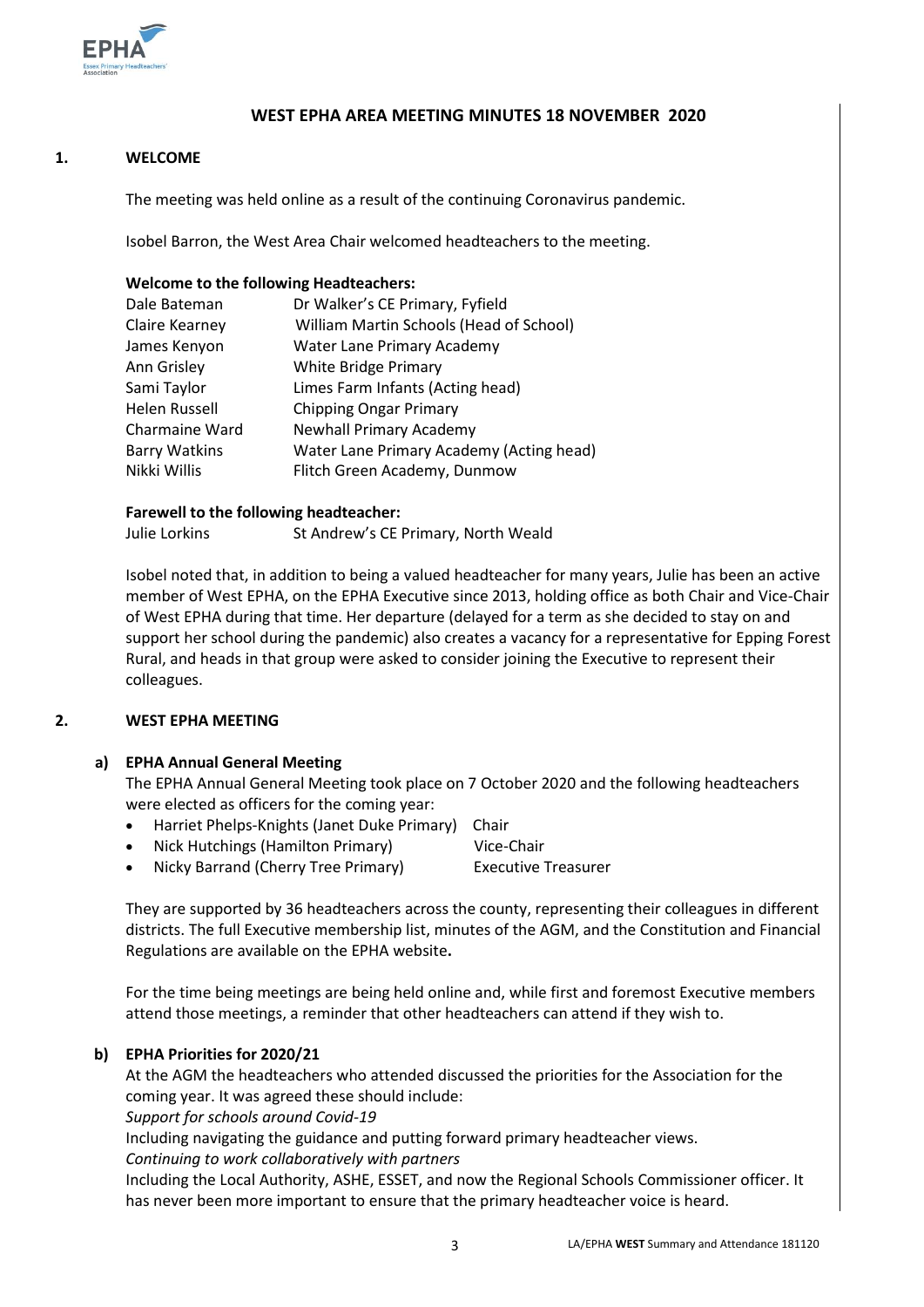

#### **WEST EPHA AREA MEETING MINUTES 18 NOVEMBER 2020**

#### **1. WELCOME**

The meeting was held online as a result of the continuing Coronavirus pandemic.

Isobel Barron, the West Area Chair welcomed headteachers to the meeting.

#### **Welcome to the following Headteachers:**

| Dr Walker's CE Primary, Fyfield          |  |
|------------------------------------------|--|
| William Martin Schools (Head of School)  |  |
| Water Lane Primary Academy               |  |
| White Bridge Primary                     |  |
| Limes Farm Infants (Acting head)         |  |
| <b>Chipping Ongar Primary</b>            |  |
| <b>Newhall Primary Academy</b>           |  |
| Water Lane Primary Academy (Acting head) |  |
| Flitch Green Academy, Dunmow             |  |
|                                          |  |

#### **Farewell to the following headteacher:**

Julie Lorkins St Andrew's CE Primary, North Weald

Isobel noted that, in addition to being a valued headteacher for many years, Julie has been an active member of West EPHA, on the EPHA Executive since 2013, holding office as both Chair and Vice-Chair of West EPHA during that time. Her departure (delayed for a term as she decided to stay on and support her school during the pandemic) also creates a vacancy for a representative for Epping Forest Rural, and heads in that group were asked to consider joining the Executive to represent their colleagues.

#### **2. WEST EPHA MEETING**

#### **a) EPHA Annual General Meeting**

The EPHA Annual General Meeting took place on 7 October 2020 and the following headteachers were elected as officers for the coming year:

- Harriet Phelps-Knights (Janet Duke Primary) Chair
- Nick Hutchings (Hamilton Primary) Vice-Chair

Nicky Barrand (Cherry Tree Primary) Executive Treasurer

They are supported by 36 headteachers across the county, representing their colleagues in different districts. The full Executive membership list, minutes of the AGM, and the Constitution and Financial Regulations are available on the EPHA website**.** 

For the time being meetings are being held online and, while first and foremost Executive members attend those meetings, a reminder that other headteachers can attend if they wish to.

### **b) EPHA Priorities for 2020/21**

At the AGM the headteachers who attended discussed the priorities for the Association for the coming year. It was agreed these should include:

*Support for schools around Covid-19*

Including navigating the guidance and putting forward primary headteacher views.

*Continuing to work collaboratively with partners*

Including the Local Authority, ASHE, ESSET, and now the Regional Schools Commissioner officer. It has never been more important to ensure that the primary headteacher voice is heard.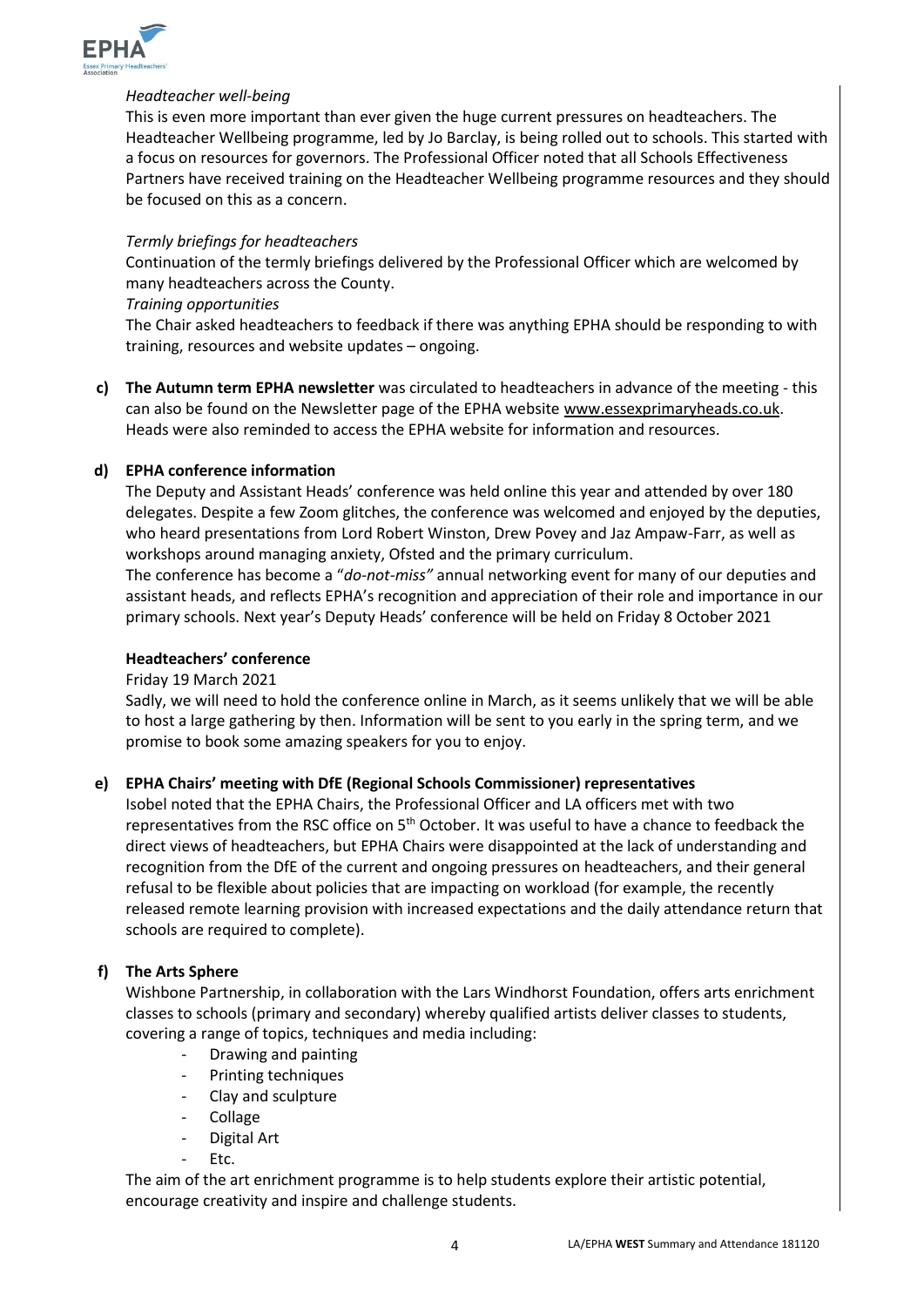

#### *Headteacher well-being*

This is even more important than ever given the huge current pressures on headteachers. The Headteacher Wellbeing programme, led by Jo Barclay, is being rolled out to schools. This started with a focus on resources for governors. The Professional Officer noted that all Schools Effectiveness Partners have received training on the Headteacher Wellbeing programme resources and they should be focused on this as a concern.

#### *Termly briefings for headteachers*

Continuation of the termly briefings delivered by the Professional Officer which are welcomed by many headteachers across the County.

#### *Training opportunities*

The Chair asked headteachers to feedback if there was anything EPHA should be responding to with training, resources and website updates – ongoing.

**c) The Autumn term EPHA newsletter** was circulated to headteachers in advance of the meeting - this can also be found on the Newsletter page of the EPHA website [www.essexprimaryheads.co.uk.](http://www.essexprimaryheads.co.uk/) Heads were also reminded to access the EPHA website for information and resources.

#### **d) EPHA conference information**

The Deputy and Assistant Heads' conference was held online this year and attended by over 180 delegates. Despite a few Zoom glitches, the conference was welcomed and enjoyed by the deputies, who heard presentations from Lord Robert Winston, Drew Povey and Jaz Ampaw-Farr, as well as workshops around managing anxiety, Ofsted and the primary curriculum.

The conference has become a "*do-not-miss"* annual networking event for many of our deputies and assistant heads, and reflects EPHA's recognition and appreciation of their role and importance in our primary schools. Next year's Deputy Heads' conference will be held on Friday 8 October 2021

#### **Headteachers' conference**

#### Friday 19 March 2021

Sadly, we will need to hold the conference online in March, as it seems unlikely that we will be able to host a large gathering by then. Information will be sent to you early in the spring term, and we promise to book some amazing speakers for you to enjoy.

### **e) EPHA Chairs' meeting with DfE (Regional Schools Commissioner) representatives**

Isobel noted that the EPHA Chairs, the Professional Officer and LA officers met with two representatives from the RSC office on  $5<sup>th</sup>$  October. It was useful to have a chance to feedback the direct views of headteachers, but EPHA Chairs were disappointed at the lack of understanding and recognition from the DfE of the current and ongoing pressures on headteachers, and their general refusal to be flexible about policies that are impacting on workload (for example, the recently released remote learning provision with increased expectations and the daily attendance return that schools are required to complete).

### **f) The Arts Sphere**

Wishbone Partnership, in collaboration with the Lars Windhorst Foundation, offers arts enrichment classes to schools (primary and secondary) whereby qualified artists deliver classes to students, covering a range of topics, techniques and media including:

- Drawing and painting
- Printing techniques
- Clay and sculpture
- Collage
- Digital Art
- Etc.

The aim of the art enrichment programme is to help students explore their artistic potential, encourage creativity and inspire and challenge students.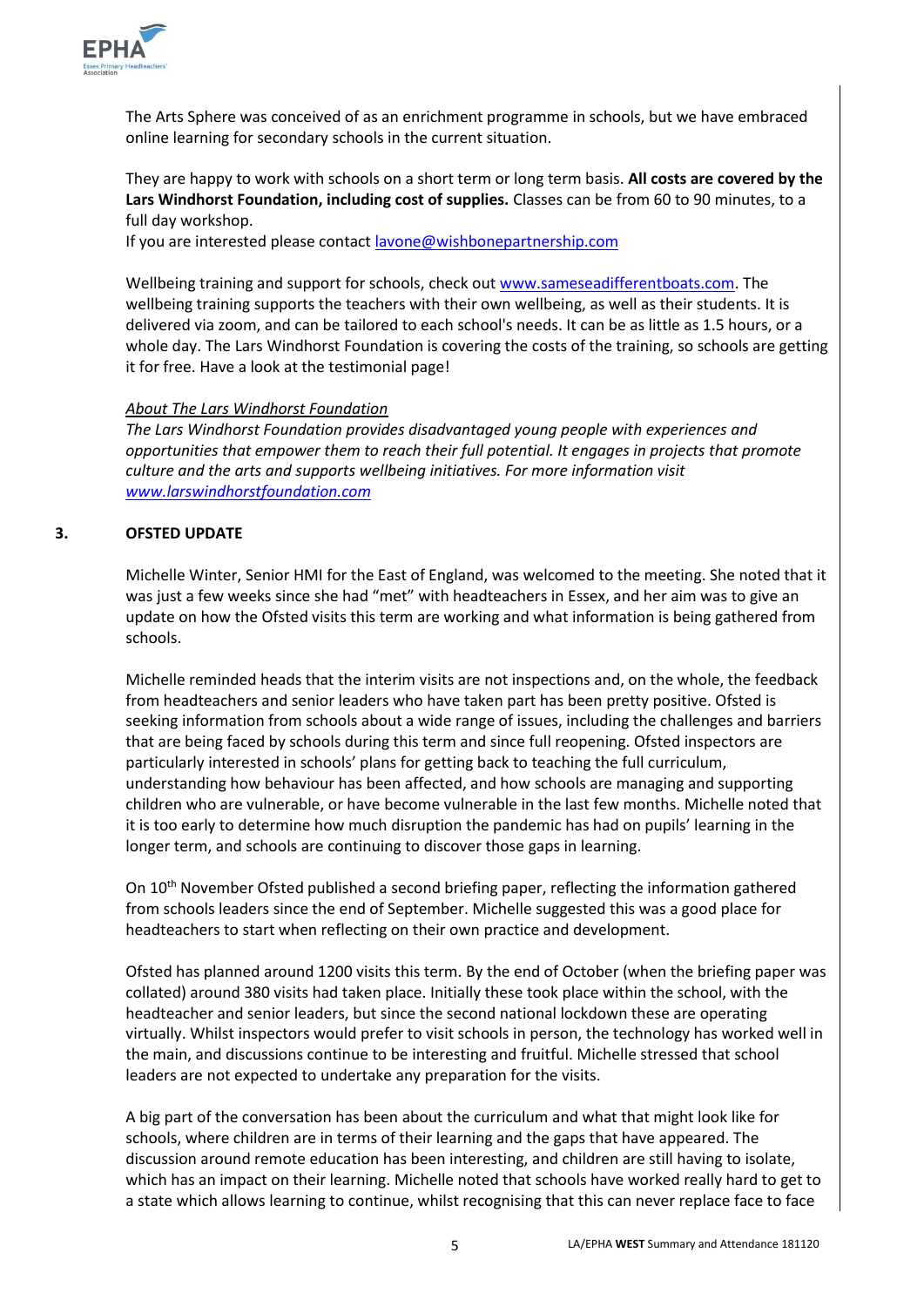

The Arts Sphere was conceived of as an enrichment programme in schools, but we have embraced online learning for secondary schools in the current situation.

They are happy to work with schools on a short term or long term basis. **All costs are covered by the Lars Windhorst Foundation, including cost of supplies.** Classes can be from 60 to 90 minutes, to a full day workshop.

If you are interested please contac[t lavone@wishbonepartnership.com](mailto:lavone@wishbonepartnership.com)

Wellbeing training and support for schools, check out [www.sameseadifferentboats.com.](http://www.sameseadifferentboats.com/) The wellbeing training supports the teachers with their own wellbeing, as well as their students. It is delivered via zoom, and can be tailored to each school's needs. It can be as little as 1.5 hours, or a whole day. The Lars Windhorst Foundation is covering the costs of the training, so schools are getting it for free. Have a look at the testimonial page!

### *About The Lars Windhorst Foundation*

*The Lars Windhorst Foundation provides disadvantaged young people with experiences and opportunities that empower them to reach their full potential. It engages in projects that promote culture and the arts and supports wellbeing initiatives. For more information visit [www.larswindhorstfoundation.com](http://www.larswindhorstfoundation.com/)*

### **3. OFSTED UPDATE**

Michelle Winter, Senior HMI for the East of England, was welcomed to the meeting. She noted that it was just a few weeks since she had "met" with headteachers in Essex, and her aim was to give an update on how the Ofsted visits this term are working and what information is being gathered from schools.

Michelle reminded heads that the interim visits are not inspections and, on the whole, the feedback from headteachers and senior leaders who have taken part has been pretty positive. Ofsted is seeking information from schools about a wide range of issues, including the challenges and barriers that are being faced by schools during this term and since full reopening. Ofsted inspectors are particularly interested in schools' plans for getting back to teaching the full curriculum, understanding how behaviour has been affected, and how schools are managing and supporting children who are vulnerable, or have become vulnerable in the last few months. Michelle noted that it is too early to determine how much disruption the pandemic has had on pupils' learning in the longer term, and schools are continuing to discover those gaps in learning.

On 10<sup>th</sup> November Ofsted published a second briefing paper, reflecting the information gathered from schools leaders since the end of September. Michelle suggested this was a good place for headteachers to start when reflecting on their own practice and development.

Ofsted has planned around 1200 visits this term. By the end of October (when the briefing paper was collated) around 380 visits had taken place. Initially these took place within the school, with the headteacher and senior leaders, but since the second national lockdown these are operating virtually. Whilst inspectors would prefer to visit schools in person, the technology has worked well in the main, and discussions continue to be interesting and fruitful. Michelle stressed that school leaders are not expected to undertake any preparation for the visits.

A big part of the conversation has been about the curriculum and what that might look like for schools, where children are in terms of their learning and the gaps that have appeared. The discussion around remote education has been interesting, and children are still having to isolate, which has an impact on their learning. Michelle noted that schools have worked really hard to get to a state which allows learning to continue, whilst recognising that this can never replace face to face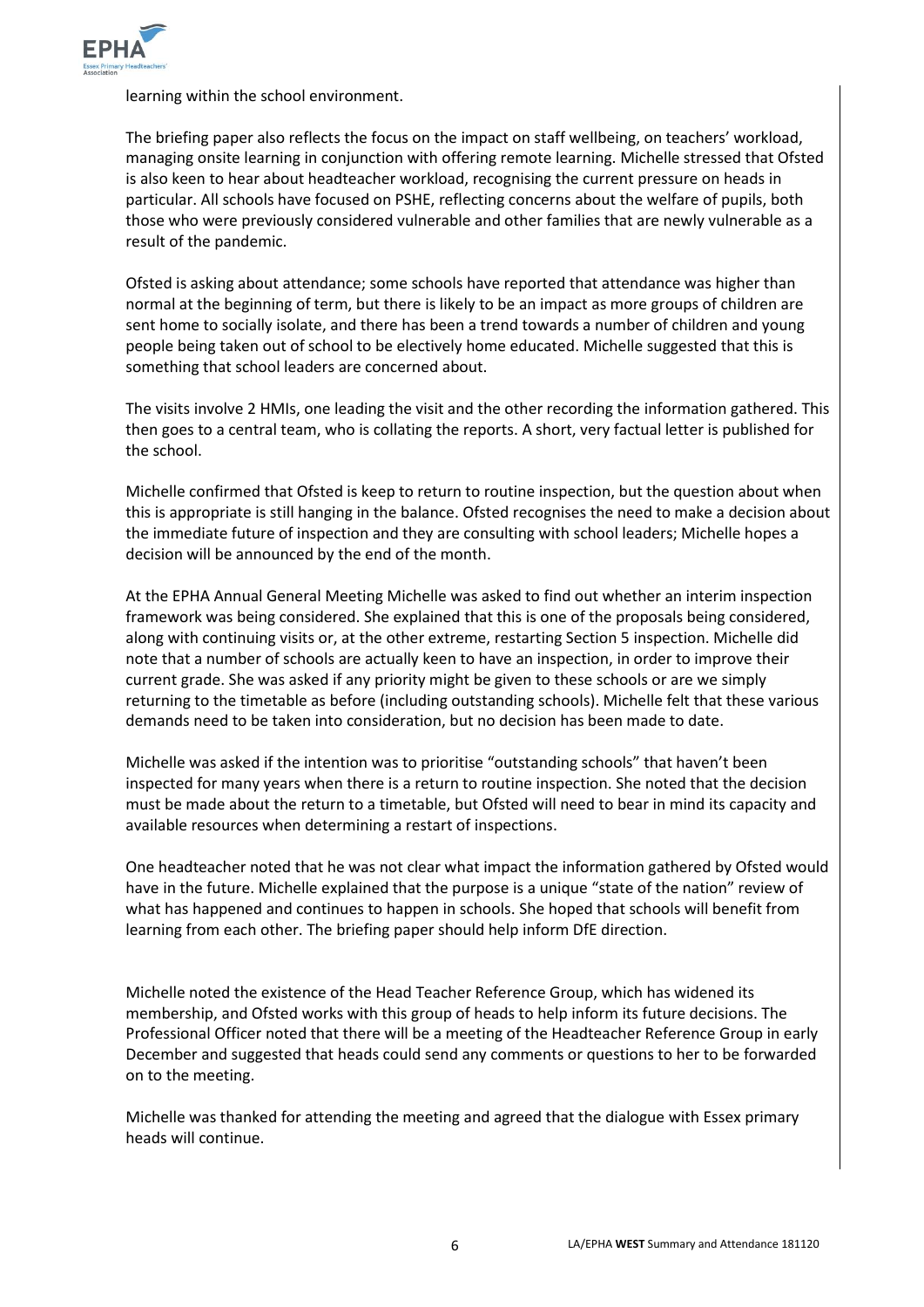

learning within the school environment.

The briefing paper also reflects the focus on the impact on staff wellbeing, on teachers' workload, managing onsite learning in conjunction with offering remote learning. Michelle stressed that Ofsted is also keen to hear about headteacher workload, recognising the current pressure on heads in particular. All schools have focused on PSHE, reflecting concerns about the welfare of pupils, both those who were previously considered vulnerable and other families that are newly vulnerable as a result of the pandemic.

Ofsted is asking about attendance; some schools have reported that attendance was higher than normal at the beginning of term, but there is likely to be an impact as more groups of children are sent home to socially isolate, and there has been a trend towards a number of children and young people being taken out of school to be electively home educated. Michelle suggested that this is something that school leaders are concerned about.

The visits involve 2 HMIs, one leading the visit and the other recording the information gathered. This then goes to a central team, who is collating the reports. A short, very factual letter is published for the school.

Michelle confirmed that Ofsted is keep to return to routine inspection, but the question about when this is appropriate is still hanging in the balance. Ofsted recognises the need to make a decision about the immediate future of inspection and they are consulting with school leaders; Michelle hopes a decision will be announced by the end of the month.

At the EPHA Annual General Meeting Michelle was asked to find out whether an interim inspection framework was being considered. She explained that this is one of the proposals being considered, along with continuing visits or, at the other extreme, restarting Section 5 inspection. Michelle did note that a number of schools are actually keen to have an inspection, in order to improve their current grade. She was asked if any priority might be given to these schools or are we simply returning to the timetable as before (including outstanding schools). Michelle felt that these various demands need to be taken into consideration, but no decision has been made to date.

Michelle was asked if the intention was to prioritise "outstanding schools" that haven't been inspected for many years when there is a return to routine inspection. She noted that the decision must be made about the return to a timetable, but Ofsted will need to bear in mind its capacity and available resources when determining a restart of inspections.

One headteacher noted that he was not clear what impact the information gathered by Ofsted would have in the future. Michelle explained that the purpose is a unique "state of the nation" review of what has happened and continues to happen in schools. She hoped that schools will benefit from learning from each other. The briefing paper should help inform DfE direction.

Michelle noted the existence of the Head Teacher Reference Group, which has widened its membership, and Ofsted works with this group of heads to help inform its future decisions. The Professional Officer noted that there will be a meeting of the Headteacher Reference Group in early December and suggested that heads could send any comments or questions to her to be forwarded on to the meeting.

Michelle was thanked for attending the meeting and agreed that the dialogue with Essex primary heads will continue.